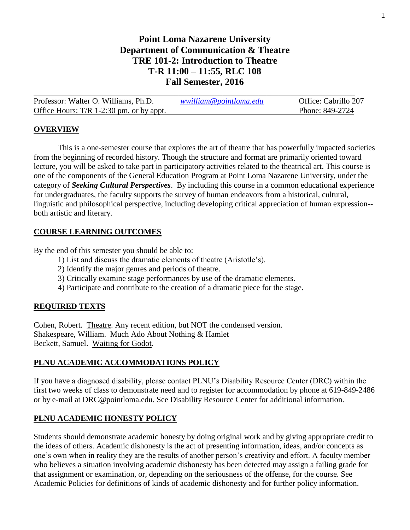# **Point Loma Nazarene University Department of Communication & Theatre TRE 101-2: Introduction to Theatre T-R 11:00 – 11:55, RLC 108 Fall Semester, 2016**

| Professor: Walter O. Williams, Ph.D.       | wwilliam@pointloma.edu | Office: Cabrillo 207 |
|--------------------------------------------|------------------------|----------------------|
| Office Hours: $T/R$ 1-2:30 pm, or by appt. |                        | Phone: 849-2724      |

### **OVERVIEW**

This is a one-semester course that explores the art of theatre that has powerfully impacted societies from the beginning of recorded history. Though the structure and format are primarily oriented toward lecture, you will be asked to take part in participatory activities related to the theatrical art. This course is one of the components of the General Education Program at Point Loma Nazarene University, under the category of *Seeking Cultural Perspectives*. By including this course in a common educational experience for undergraduates, the faculty supports the survey of human endeavors from a historical, cultural, linguistic and philosophical perspective, including developing critical appreciation of human expression- both artistic and literary.

### **COURSE LEARNING OUTCOMES**

By the end of this semester you should be able to:

- 1) List and discuss the dramatic elements of theatre (Aristotle's).
- 2) Identify the major genres and periods of theatre.
- 3) Critically examine stage performances by use of the dramatic elements.
- 4) Participate and contribute to the creation of a dramatic piece for the stage.

### **REQUIRED TEXTS**

Cohen, Robert. Theatre. Any recent edition, but NOT the condensed version. Shakespeare, William. Much Ado About Nothing & Hamlet Beckett, Samuel. Waiting for Godot.

# **PLNU ACADEMIC ACCOMMODATIONS POLICY**

If you have a diagnosed disability, please contact PLNU's Disability Resource Center (DRC) within the first two weeks of class to demonstrate need and to register for accommodation by phone at 619-849-2486 or by e-mail at DRC@pointloma.edu. See Disability Resource Center for additional information.

# **PLNU ACADEMIC HONESTY POLICY**

Students should demonstrate academic honesty by doing original work and by giving appropriate credit to the ideas of others. Academic dishonesty is the act of presenting information, ideas, and/or concepts as one's own when in reality they are the results of another person's creativity and effort. A faculty member who believes a situation involving academic dishonesty has been detected may assign a failing grade for that assignment or examination, or, depending on the seriousness of the offense, for the course. See Academic Policies for definitions of kinds of academic dishonesty and for further policy information.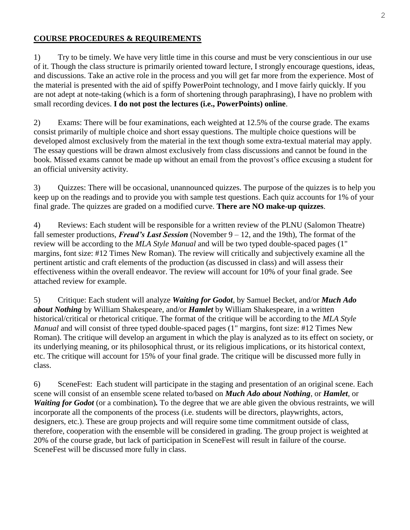### **COURSE PROCEDURES & REQUIREMENTS**

1) Try to be timely. We have very little time in this course and must be very conscientious in our use of it. Though the class structure is primarily oriented toward lecture, I strongly encourage questions, ideas, and discussions. Take an active role in the process and you will get far more from the experience. Most of the material is presented with the aid of spiffy PowerPoint technology, and I move fairly quickly. If you are not adept at note-taking (which is a form of shortening through paraphrasing), I have no problem with small recording devices. **I do not post the lectures (i.e., PowerPoints) online**.

2) Exams: There will be four examinations, each weighted at 12.5% of the course grade. The exams consist primarily of multiple choice and short essay questions. The multiple choice questions will be developed almost exclusively from the material in the text though some extra-textual material may apply. The essay questions will be drawn almost exclusively from class discussions and cannot be found in the book. Missed exams cannot be made up without an email from the provost's office excusing a student for an official university activity.

3) Quizzes: There will be occasional, unannounced quizzes. The purpose of the quizzes is to help you keep up on the readings and to provide you with sample test questions. Each quiz accounts for 1% of your final grade. The quizzes are graded on a modified curve. **There are NO make-up quizzes**.

4) Reviews: Each student will be responsible for a written review of the PLNU (Salomon Theatre) fall semester productions, *Freud's Last Session* (November 9 – 12, and the 19th), The format of the review will be according to the *MLA Style Manual* and will be two typed double-spaced pages (1" margins, font size: #12 Times New Roman). The review will critically and subjectively examine all the pertinent artistic and craft elements of the production (as discussed in class) and will assess their effectiveness within the overall endeavor. The review will account for 10% of your final grade. See attached review for example.

5) Critique: Each student will analyze *Waiting for Godot*, by Samuel Becket, and/or *Much Ado about Nothing* by William Shakespeare, and/or *Hamlet* by William Shakespeare, in a written historical/critical or rhetorical critique. The format of the critique will be according to the *MLA Style Manual* and will consist of three typed double-spaced pages (1" margins, font size: #12 Times New Roman). The critique will develop an argument in which the play is analyzed as to its effect on society, or its underlying meaning, or its philosophical thrust, or its religious implications, or its historical context, etc. The critique will account for 15% of your final grade. The critique will be discussed more fully in class.

6) SceneFest: Each student will participate in the staging and presentation of an original scene. Each scene will consist of an ensemble scene related to/based on *Much Ado about Nothing*, or *Hamlet*, or *Waiting for Godot* (or a combination). To the degree that we are able given the obvious restraints, we will incorporate all the components of the process (i.e. students will be directors, playwrights, actors, designers, etc.). These are group projects and will require some time commitment outside of class, therefore, cooperation with the ensemble will be considered in grading. The group project is weighted at 20% of the course grade, but lack of participation in SceneFest will result in failure of the course. SceneFest will be discussed more fully in class.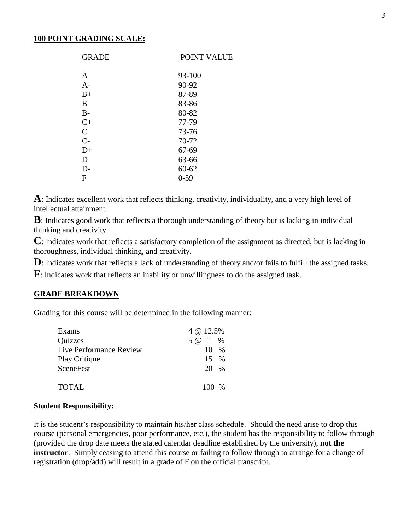#### **100 POINT GRADING SCALE:**

| <b>GRADE</b>  | POINT VALUE |
|---------------|-------------|
| A             | 93-100      |
| $A-$          | 90-92       |
| $B+$          | 87-89       |
| B             | 83-86       |
| $B-$          | 80-82       |
| $C+$          | 77-79       |
| $\mathcal{C}$ | 73-76       |
| $C-$          | 70-72       |
| $D+$          | 67-69       |
| D             | 63-66       |
| D-            | $60 - 62$   |
| F             | $0 - 59$    |

**A**: Indicates excellent work that reflects thinking, creativity, individuality, and a very high level of intellectual attainment.

**B**: Indicates good work that reflects a thorough understanding of theory but is lacking in individual thinking and creativity.

**C**: Indicates work that reflects a satisfactory completion of the assignment as directed, but is lacking in thoroughness, individual thinking, and creativity.

**D**: Indicates work that reflects a lack of understanding of theory and/or fails to fulfill the assigned tasks.

**F**: Indicates work that reflects an inability or unwillingness to do the assigned task.

#### **GRADE BREAKDOWN**

Grading for this course will be determined in the following manner:

| Exams                   | 4 @ 12.5%        |
|-------------------------|------------------|
| <b>Quizzes</b>          | 5 @ 1 %          |
| Live Performance Review | $10 \frac{9}{6}$ |
| <b>Play Critique</b>    | $15 \frac{9}{6}$ |
| <b>SceneFest</b>        | 20 %             |
| <b>TOTAL</b>            | $100\%$          |

#### **Student Responsibility:**

It is the student's responsibility to maintain his/her class schedule. Should the need arise to drop this course (personal emergencies, poor performance, etc.), the student has the responsibility to follow through (provided the drop date meets the stated calendar deadline established by the university), **not the instructor**. Simply ceasing to attend this course or failing to follow through to arrange for a change of registration (drop/add) will result in a grade of F on the official transcript.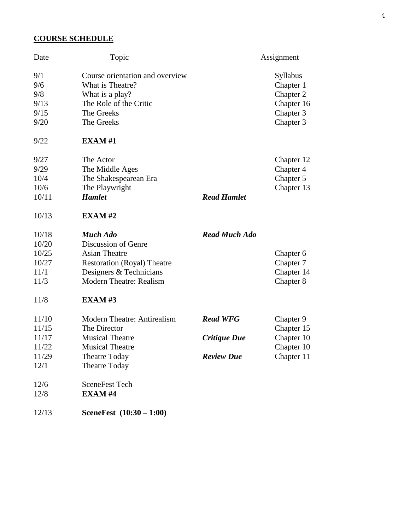# **COURSE SCHEDULE**

12/13 **SceneFest (10:30 – 1:00)**

| <b>Date</b>       | <b>Topic</b>                                                           |                      | <b>Assignment</b>                         |
|-------------------|------------------------------------------------------------------------|----------------------|-------------------------------------------|
| 9/1<br>9/6<br>9/8 | Course orientation and overview<br>What is Theatre?<br>What is a play? |                      | <b>Syllabus</b><br>Chapter 1<br>Chapter 2 |
| 9/13              | The Role of the Critic                                                 |                      | Chapter 16                                |
| 9/15              | The Greeks                                                             |                      | Chapter 3                                 |
| 9/20              | The Greeks                                                             |                      | Chapter 3                                 |
| 9/22              | <b>EXAM#1</b>                                                          |                      |                                           |
| 9/27              | The Actor                                                              |                      | Chapter 12                                |
| 9/29              | The Middle Ages                                                        |                      | Chapter 4                                 |
| 10/4              | The Shakespearean Era                                                  |                      | Chapter 5                                 |
| 10/6              | The Playwright                                                         |                      | Chapter 13                                |
| 10/11             | <b>Hamlet</b>                                                          | <b>Read Hamlet</b>   |                                           |
| 10/13             | EXAMPLE XAM #2                                                         |                      |                                           |
| 10/18             | <b>Much Ado</b>                                                        | <b>Read Much Ado</b> |                                           |
| 10/20             | Discussion of Genre                                                    |                      |                                           |
| 10/25             | <b>Asian Theatre</b>                                                   |                      | Chapter 6                                 |
| 10/27             | <b>Restoration (Royal) Theatre</b>                                     |                      | Chapter 7                                 |
| 11/1              | Designers & Technicians                                                |                      | Chapter 14                                |
| 11/3              | <b>Modern Theatre: Realism</b>                                         |                      | Chapter 8                                 |
| 11/8              | <b>EXAM#3</b>                                                          |                      |                                           |
| 11/10             | Modern Theatre: Antirealism                                            | <b>Read WFG</b>      | Chapter 9                                 |
| 11/15             | The Director                                                           |                      | Chapter 15                                |
| 11/17             | <b>Musical Theatre</b>                                                 | Critique Due         | Chapter 10                                |
| 11/22             | <b>Musical Theatre</b>                                                 |                      | Chapter 10                                |
| 11/29             | <b>Theatre Today</b>                                                   | <b>Review Due</b>    | Chapter 11                                |
| 12/1              | <b>Theatre Today</b>                                                   |                      |                                           |
| 12/6              | <b>SceneFest Tech</b>                                                  |                      |                                           |
| 12/8              | <b>EXAM#4</b>                                                          |                      |                                           |
|                   |                                                                        |                      |                                           |

4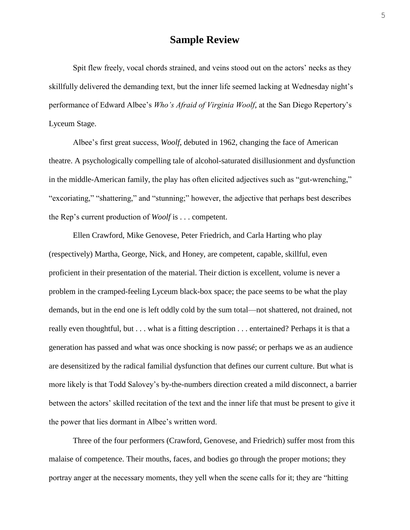# **Sample Review**

Spit flew freely, vocal chords strained, and veins stood out on the actors' necks as they skillfully delivered the demanding text, but the inner life seemed lacking at Wednesday night's performance of Edward Albee's *Who's Afraid of Virginia Woolf*, at the San Diego Repertory's Lyceum Stage.

Albee's first great success, *Woolf*, debuted in 1962, changing the face of American theatre. A psychologically compelling tale of alcohol-saturated disillusionment and dysfunction in the middle-American family, the play has often elicited adjectives such as "gut-wrenching," "excoriating," "shattering," and "stunning;" however, the adjective that perhaps best describes the Rep's current production of *Woolf* is . . . competent.

Ellen Crawford, Mike Genovese, Peter Friedrich, and Carla Harting who play (respectively) Martha, George, Nick, and Honey, are competent, capable, skillful, even proficient in their presentation of the material. Their diction is excellent, volume is never a problem in the cramped-feeling Lyceum black-box space; the pace seems to be what the play demands, but in the end one is left oddly cold by the sum total—not shattered, not drained, not really even thoughtful, but . . . what is a fitting description . . . entertained? Perhaps it is that a generation has passed and what was once shocking is now passé; or perhaps we as an audience are desensitized by the radical familial dysfunction that defines our current culture. But what is more likely is that Todd Salovey's by-the-numbers direction created a mild disconnect, a barrier between the actors' skilled recitation of the text and the inner life that must be present to give it the power that lies dormant in Albee's written word.

Three of the four performers (Crawford, Genovese, and Friedrich) suffer most from this malaise of competence. Their mouths, faces, and bodies go through the proper motions; they portray anger at the necessary moments, they yell when the scene calls for it; they are "hitting